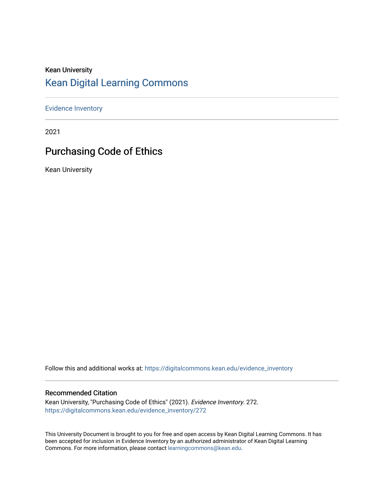# Kean University [Kean Digital Learning Commons](https://digitalcommons.kean.edu/)

[Evidence Inventory](https://digitalcommons.kean.edu/evidence_inventory) 

2021

# Purchasing Code of Ethics

Kean University

Follow this and additional works at: [https://digitalcommons.kean.edu/evidence\\_inventory](https://digitalcommons.kean.edu/evidence_inventory?utm_source=digitalcommons.kean.edu%2Fevidence_inventory%2F272&utm_medium=PDF&utm_campaign=PDFCoverPages)

#### Recommended Citation

Kean University, "Purchasing Code of Ethics" (2021). Evidence Inventory. 272. [https://digitalcommons.kean.edu/evidence\\_inventory/272](https://digitalcommons.kean.edu/evidence_inventory/272?utm_source=digitalcommons.kean.edu%2Fevidence_inventory%2F272&utm_medium=PDF&utm_campaign=PDFCoverPages)

This University Document is brought to you for free and open access by Kean Digital Learning Commons. It has been accepted for inclusion in Evidence Inventory by an authorized administrator of Kean Digital Learning Commons. For more information, please contact [learningcommons@kean.edu.](mailto:learningcommons@kean.edu)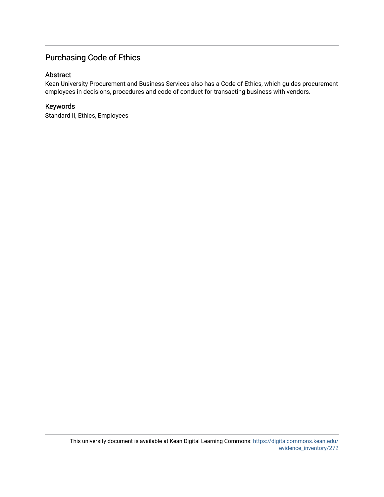# Purchasing Code of Ethics

### Abstract

Kean University Procurement and Business Services also has a Code of Ethics, which guides procurement employees in decisions, procedures and code of conduct for transacting business with vendors.

### Keywords

Standard II, Ethics, Employees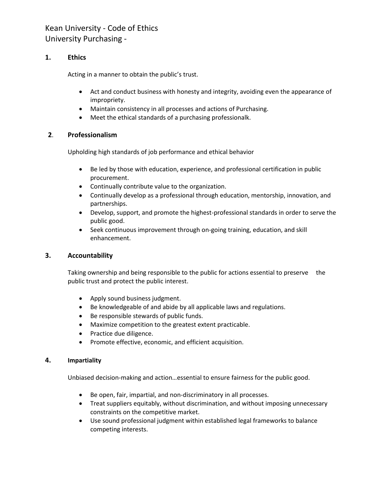## Kean University - Code of Ethics University Purchasing -

### **1. Ethics**

Acting in a manner to obtain the public's trust.

- Act and conduct business with honesty and integrity, avoiding even the appearance of impropriety.
- Maintain consistency in all processes and actions of Purchasing.
- Meet the ethical standards of a purchasing professionalk.

### **2**. **Professionalism**

Upholding high standards of job performance and ethical behavior

- Be led by those with education, experience, and professional certification in public procurement.
- Continually contribute value to the organization.
- Continually develop as a professional through education, mentorship, innovation, and partnerships.
- Develop, support, and promote the highest-professional standards in order to serve the public good.
- Seek continuous improvement through on-going training, education, and skill enhancement.

### **3. Accountability**

Taking ownership and being responsible to the public for actions essential to preserve the public trust and protect the public interest.

- Apply sound business judgment.
- Be knowledgeable of and abide by all applicable laws and regulations.
- Be responsible stewards of public funds.
- Maximize competition to the greatest extent practicable.
- Practice due diligence.
- Promote effective, economic, and efficient acquisition.

### **4. Impartiality**

Unbiased decision-making and action…essential to ensure fairness for the public good.

- Be open, fair, impartial, and non-discriminatory in all processes.
- Treat suppliers equitably, without discrimination, and without imposing unnecessary constraints on the competitive market.
- Use sound professional judgment within established legal frameworks to balance competing interests.